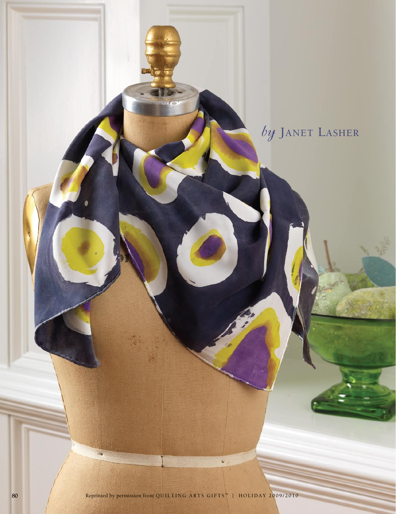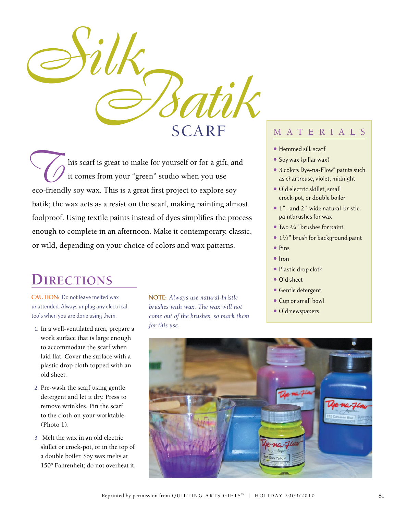

his scarf is great to make for yourself or for a gift, and it comes from your "green" studio when you use eco-friendly soy wax. This is a great first project to explore soy batik; the wax acts as a resist on the scarf, making painting almost foolproof. Using textile paints instead of dyes simplifies the process enough to complete in an afternoon. Make it contemporary, classic, or wild, depending on your choice of colors and wax patterns.

## **Directions**

**CAUTION:** Do not leave melted wax unattended. Always unplug any electrical tools when you are done using them.

- 1. In a well-ventilated area, prepare a work surface that is large enough to accommodate the scarf when laid flat. Cover the surface with a plastic drop cloth topped with an old sheet.
- 2. Pre-wash the scarf using gentle detergent and let it dry. Press to remove wrinkles. Pin the scarf to the cloth on your worktable (Photo 1).
- 3. Melt the wax in an old electric skillet or crock-pot, or in the top of a double boiler. Soy wax melts at 150° Fahrenheit; do not overheat it.

**NOTE:** *Always use natural-bristle brushes with wax. The wax will not come out of the brushes, so mark them for this use.* 

## M A T E R I A L S

- **•** Hemmed silk scarf
- Soy wax (pillar wax)
- **•** 3 colors Dye-na-Flow® paints such as chartreuse, violet, midnight
- **•** Old electric skillet, small crock-pot, or double boiler
- **•** 1"- and 2"-wide natural-bristle paintbrushes for wax
- **•** Two 3⁄4" brushes for paint
- **•** 1<sup>1</sup>/<sub>2</sub>" brush for background paint
- **•** Pins
- **•** Iron
- **•** Plastic drop cloth
- **•** Old sheet
- **•** Gentle detergent
- **•** Cup or small bowl
- Old newspapers